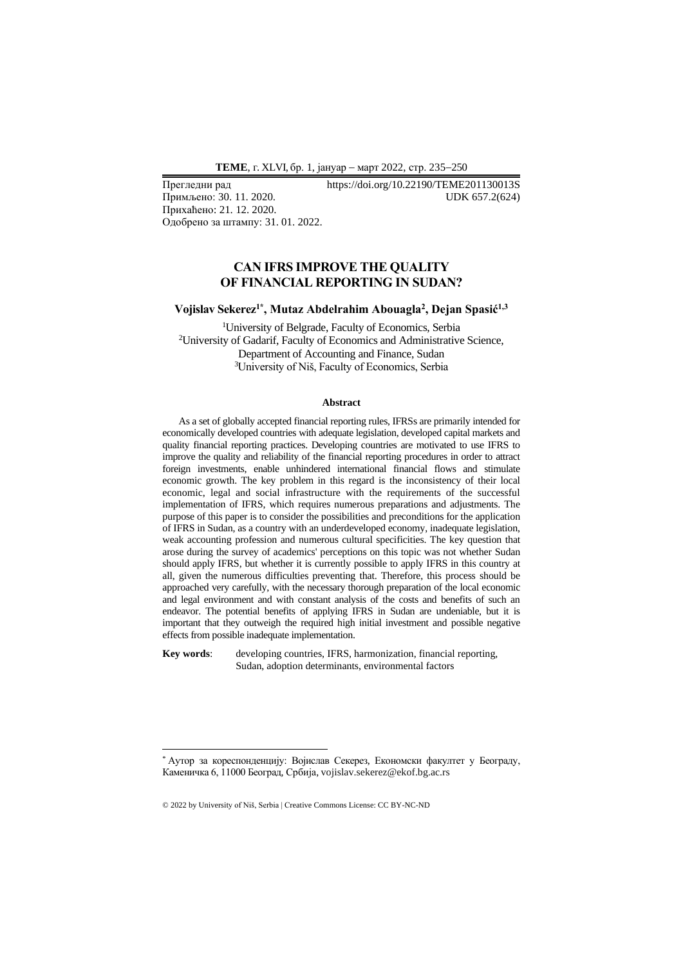**ТEME**, г. XLVI, бр. 1, јануар − март 2022, стр. 235−250

Примљено: 30. 11. 2020. Прихаћено: 21. 12. 2020. Одобрено за штампу: 31. 01. 2022.

Прегледни рад https://doi.org/10.22190/TEME201130013S<br>Примљено: 30. 11. 2020. UDK 657.2(624)

## **CAN IFRS IMPROVE THE QUALITY OF FINANCIAL REPORTING IN SUDAN?**

### **Vojislav Sekerez1\* , Mutaz Abdelrahim Abouagla<sup>2</sup> , Dejan Spasić1,3**

<sup>1</sup>University of Belgrade, Faculty of Economics, Serbia <sup>2</sup>University of Gadarif, Faculty of Economics and Administrative Science, Department of Accounting and Finance, Sudan <sup>3</sup>University of Niš, Faculty of Economics, Serbia

#### **Abstract**

As a set of globally accepted financial reporting rules, IFRSs are primarily intended for economically developed countries with adequate legislation, developed capital markets and quality financial reporting practices. Developing countries are motivated to use IFRS to improve the quality and reliability of the financial reporting procedures in order to attract foreign investments, enable unhindered international financial flows and stimulate economic growth. The key problem in this regard is the inconsistency of their local economic, legal and social infrastructure with the requirements of the successful implementation of IFRS, which requires numerous preparations and adjustments. The purpose of this paper is to consider the possibilities and preconditions for the application of IFRS in Sudan, as a country with an underdeveloped economy, inadequate legislation, weak accounting profession and numerous cultural specificities. The key question that arose during the survey of academics' perceptions on this topic was not whether Sudan should apply IFRS, but whether it is currently possible to apply IFRS in this country at all, given the numerous difficulties preventing that. Therefore, this process should be approached very carefully, with the necessary thorough preparation of the local economic and legal environment and with constant analysis of the costs and benefits of such an endeavor. The potential benefits of applying IFRS in Sudan are undeniable, but it is important that they outweigh the required high initial investment and possible negative effects from possible inadequate implementation.

**Key words**: developing countries, IFRS, harmonization, financial reporting, Sudan, adoption determinants, environmental factors

<sup>\*</sup> Аутор за кореспонденцију: Војислав Секерез, Економски факултет у Београду, Каменичка 6, 11000 Београд, Србија, vojislav.sekerez@ekof.bg.ac.rs

<sup>© 2022</sup> by University of Niš, Serbia | Creative Commons License: CC BY-NC-ND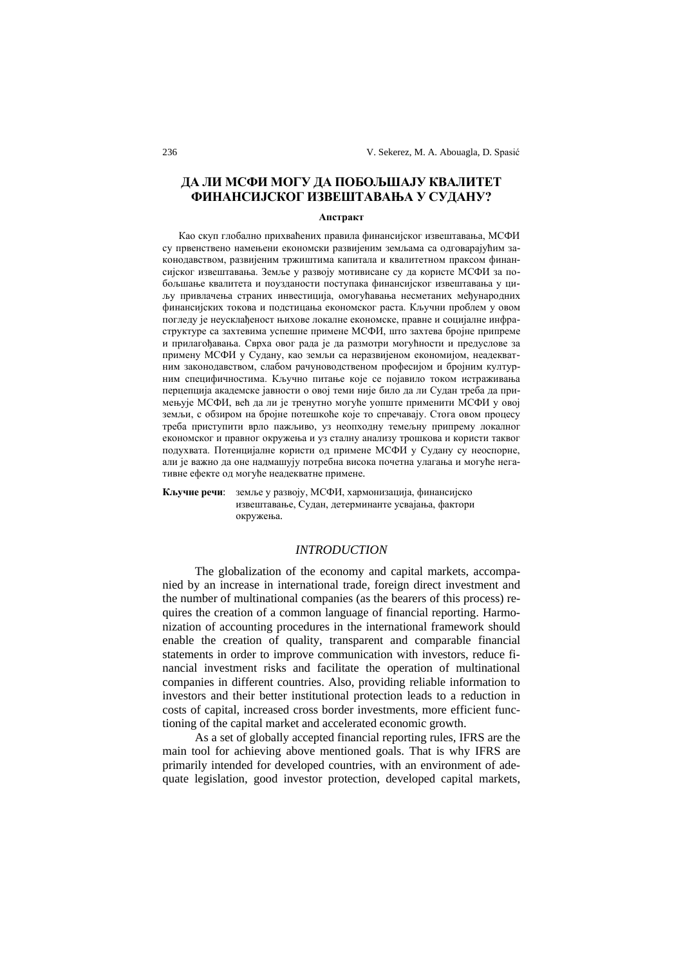# **ДА ЛИ МСФИ МОГУ ДА ПОБОЉШАЈУ КВАЛИТЕТ ФИНАНСИЈСКОГ ИЗВЕШТАВАЊА У СУДАНУ?**

#### **Апстракт**

Као скуп глобално прихваћених правила финансијског извештавања, МСФИ су првенствено намењени економски развијеним земљама са одговарајућим законодавством, развијеним тржиштима капитала и квалитетном праксом финансијског извештавања. Земље у развоју мотивисане су да користе МСФИ за побољшање квалитета и поузданости поступака финансијског извештавања у циљу привлачења страних инвестиција, омогућавања несметаних међународних финансијских токова и подстицања економског раста. Кључни проблем у овом погледу је неусклађеност њихове локалне економске, правне и социјалне инфраструктуре са захтевима успешне примене МСФИ, што захтева бројне припреме и прилагођавања. Сврха овог рада је да размотри могућности и предуслове за примену МСФИ у Судану, као земљи са неразвијеном економијом, неадекватним законодавством, слабом рачуноводственом професијом и бројним културним специфичностима. Кључно питање које се појавило током истраживања перцепција академске јавности о овој теми није било да ли Судан треба да примењује МСФИ, већ да ли је тренутно могуће уопште применити МСФИ у овој земљи, с обзиром на бројне потешкоће које то спречавају. Стога овом процесу треба приступити врло пажљиво, уз неопходну темељну припрему локалног економског и правног окружења и уз сталну анализу трошкова и користи таквог подухвата. Потенцијалне користи од примене МСФИ у Судану су неоспорне, али је важно да оне надмашују потребна висока почетна улагања и могуће негативне ефекте од могуће неадекватне примене.

**Кључне речи**: земље у развоју, МСФИ, хармонизација, финансијско извештавање, Судан, детерминанте усвајања, фактори окружења.

#### *INTRODUCTION*

The globalization of the economy and capital markets, accompanied by an increase in international trade, foreign direct investment and the number of multinational companies (as the bearers of this process) requires the creation of a common language of financial reporting. Harmonization of accounting procedures in the international framework should enable the creation of quality, transparent and comparable financial statements in order to improve communication with investors, reduce financial investment risks and facilitate the operation of multinational companies in different countries. Also, providing reliable information to investors and their better institutional protection leads to a reduction in costs of capital, increased cross border investments, more efficient functioning of the capital market and accelerated economic growth.

As a set of globally accepted financial reporting rules, IFRS are the main tool for achieving above mentioned goals. That is why IFRS are primarily intended for developed countries, with an environment of adequate legislation, good investor protection, developed capital markets,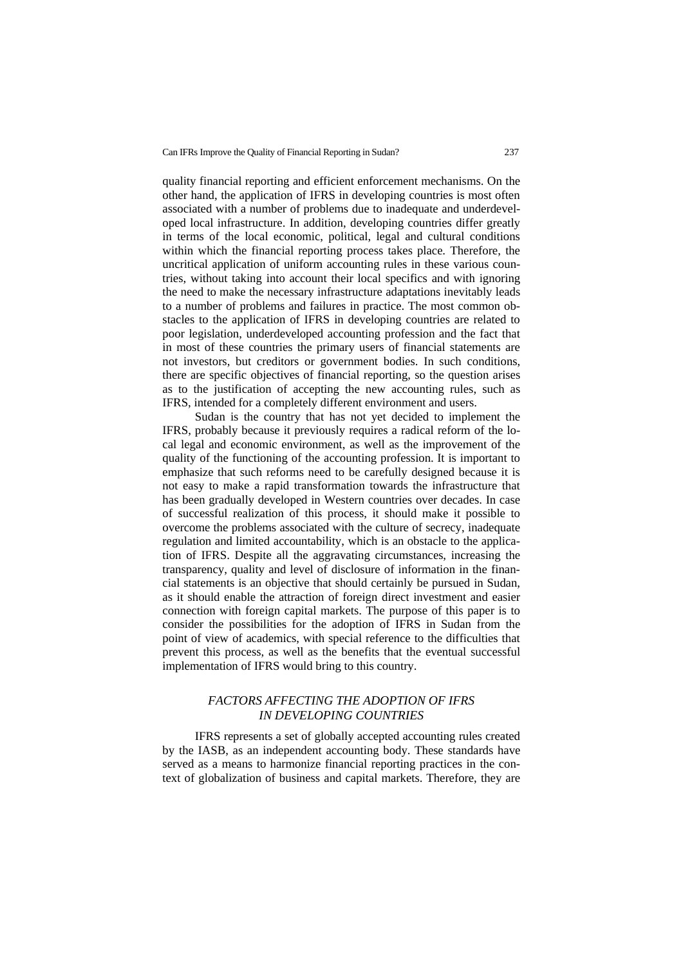quality financial reporting and efficient enforcement mechanisms. On the other hand, the application of IFRS in developing countries is most often associated with a number of problems due to inadequate and underdeveloped local infrastructure. In addition, developing countries differ greatly in terms of the local economic, political, legal and cultural conditions within which the financial reporting process takes place. Therefore, the uncritical application of uniform accounting rules in these various countries, without taking into account their local specifics and with ignoring the need to make the necessary infrastructure adaptations inevitably leads to a number of problems and failures in practice. The most common obstacles to the application of IFRS in developing countries are related to poor legislation, underdeveloped accounting profession and the fact that in most of these countries the primary users of financial statements are not investors, but creditors or government bodies. In such conditions, there are specific objectives of financial reporting, so the question arises as to the justification of accepting the new accounting rules, such as IFRS, intended for a completely different environment and users.

Sudan is the country that has not yet decided to implement the IFRS, probably because it previously requires a radical reform of the local legal and economic environment, as well as the improvement of the quality of the functioning of the accounting profession. It is important to emphasize that such reforms need to be carefully designed because it is not easy to make a rapid transformation towards the infrastructure that has been gradually developed in Western countries over decades. In case of successful realization of this process, it should make it possible to overcome the problems associated with the culture of secrecy, inadequate regulation and limited accountability, which is an obstacle to the application of IFRS. Despite all the aggravating circumstances, increasing the transparency, quality and level of disclosure of information in the financial statements is an objective that should certainly be pursued in Sudan, as it should enable the attraction of foreign direct investment and easier connection with foreign capital markets. The purpose of this paper is to consider the possibilities for the adoption of IFRS in Sudan from the point of view of academics, with special reference to the difficulties that prevent this process, as well as the benefits that the eventual successful implementation of IFRS would bring to this country.

## *FACTORS AFFECTING THE ADOPTION OF IFRS IN DEVELOPING COUNTRIES*

IFRS represents a set of globally accepted accounting rules created by the IASB, as an independent accounting body. These standards have served as a means to harmonize financial reporting practices in the context of globalization of business and capital markets. Therefore, they are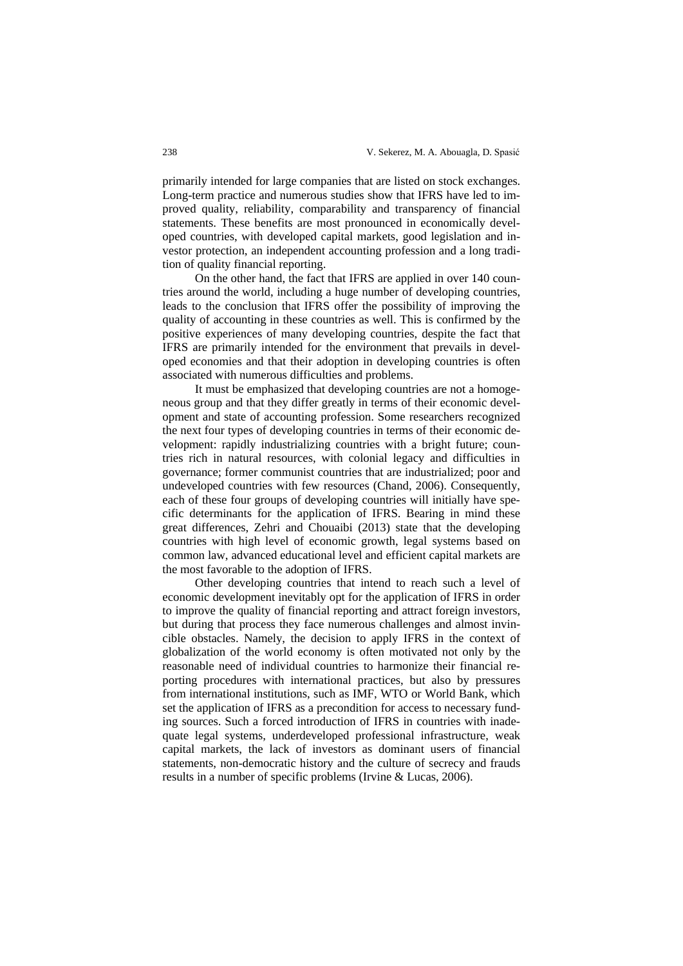primarily intended for large companies that are listed on stock exchanges. Long-term practice and numerous studies show that IFRS have led to improved quality, reliability, comparability and transparency of financial statements. These benefits are most pronounced in economically developed countries, with developed capital markets, good legislation and investor protection, an independent accounting profession and a long tradition of quality financial reporting.

On the other hand, the fact that IFRS are applied in over 140 countries around the world, including a huge number of developing countries, leads to the conclusion that IFRS offer the possibility of improving the quality of accounting in these countries as well. This is confirmed by the positive experiences of many developing countries, despite the fact that IFRS are primarily intended for the environment that prevails in developed economies and that their adoption in developing countries is often associated with numerous difficulties and problems.

It must be emphasized that developing countries are not a homogeneous group and that they differ greatly in terms of their economic development and state of accounting profession. Some researchers recognized the next four types of developing countries in terms of their economic development: rapidly industrializing countries with a bright future; countries rich in natural resources, with colonial legacy and difficulties in governance; former communist countries that are industrialized; poor and undeveloped countries with few resources (Chand, 2006). Consequently, each of these four groups of developing countries will initially have specific determinants for the application of IFRS. Bearing in mind these great differences, Zehri and Chouaibi (2013) state that the developing countries with high level of economic growth, legal systems based on common law, advanced educational level and efficient capital markets are the most favorable to the adoption of IFRS.

Other developing countries that intend to reach such a level of economic development inevitably opt for the application of IFRS in order to improve the quality of financial reporting and attract foreign investors, but during that process they face numerous challenges and almost invincible obstacles. Namely, the decision to apply IFRS in the context of globalization of the world economy is often motivated not only by the reasonable need of individual countries to harmonize their financial reporting procedures with international practices, but also by pressures from international institutions, such as IMF, WTO or World Bank, which set the application of IFRS as a precondition for access to necessary funding sources. Such a forced introduction of IFRS in countries with inadequate legal systems, underdeveloped professional infrastructure, weak capital markets, the lack of investors as dominant users of financial statements, non-democratic history and the culture of secrecy and frauds results in a number of specific problems (Irvine & Lucas, 2006).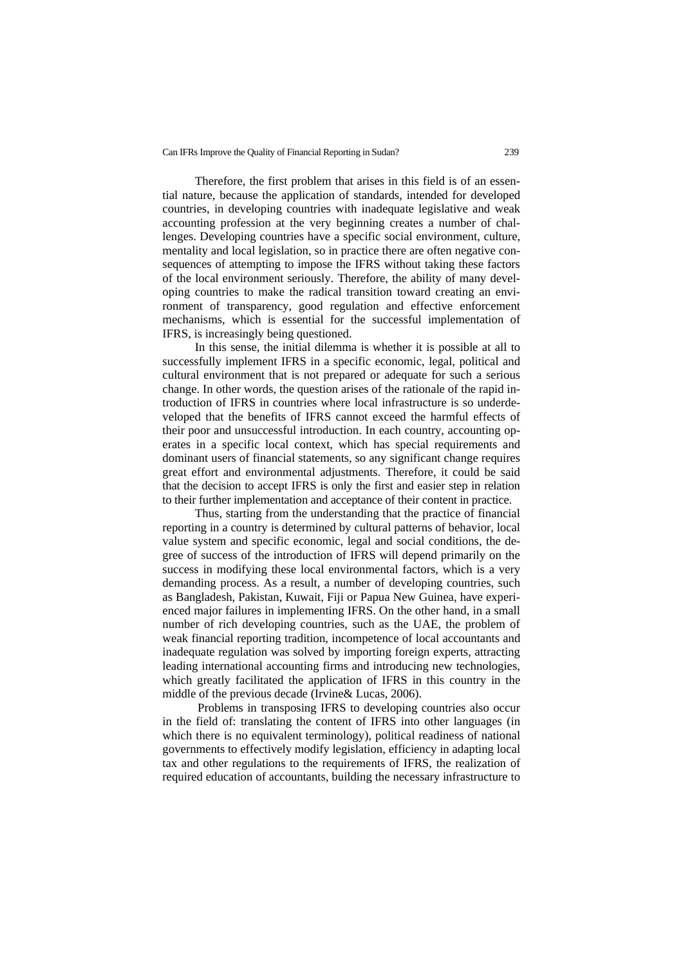Therefore, the first problem that arises in this field is of an essential nature, because the application of standards, intended for developed countries, in developing countries with inadequate legislative and weak accounting profession at the very beginning creates a number of challenges. Developing countries have a specific social environment, culture, mentality and local legislation, so in practice there are often negative consequences of attempting to impose the IFRS without taking these factors of the local environment seriously. Therefore, the ability of many developing countries to make the radical transition toward creating an environment of transparency, good regulation and effective enforcement mechanisms, which is essential for the successful implementation of IFRS, is increasingly being questioned.

In this sense, the initial dilemma is whether it is possible at all to successfully implement IFRS in a specific economic, legal, political and cultural environment that is not prepared or adequate for such a serious change. In other words, the question arises of the rationale of the rapid introduction of IFRS in countries where local infrastructure is so underdeveloped that the benefits of IFRS cannot exceed the harmful effects of their poor and unsuccessful introduction. In each country, accounting operates in a specific local context, which has special requirements and dominant users of financial statements, so any significant change requires great effort and environmental adjustments. Therefore, it could be said that the decision to accept IFRS is only the first and easier step in relation to their further implementation and acceptance of their content in practice.

Thus, starting from the understanding that the practice of financial reporting in a country is determined by cultural patterns of behavior, local value system and specific economic, legal and social conditions, the degree of success of the introduction of IFRS will depend primarily on the success in modifying these local environmental factors, which is a very demanding process. As a result, a number of developing countries, such as Bangladesh, Pakistan, Kuwait, Fiji or Papua New Guinea, have experienced major failures in implementing IFRS. On the other hand, in a small number of rich developing countries, such as the UAE, the problem of weak financial reporting tradition, incompetence of local accountants and inadequate regulation was solved by importing foreign experts, attracting leading international accounting firms and introducing new technologies, which greatly facilitated the application of IFRS in this country in the middle of the previous decade (Irvine& Lucas, 2006).

Problems in transposing IFRS to developing countries also occur in the field of: translating the content of IFRS into other languages (in which there is no equivalent terminology), political readiness of national governments to effectively modify legislation, efficiency in adapting local tax and other regulations to the requirements of IFRS, the realization of required education of accountants, building the necessary infrastructure to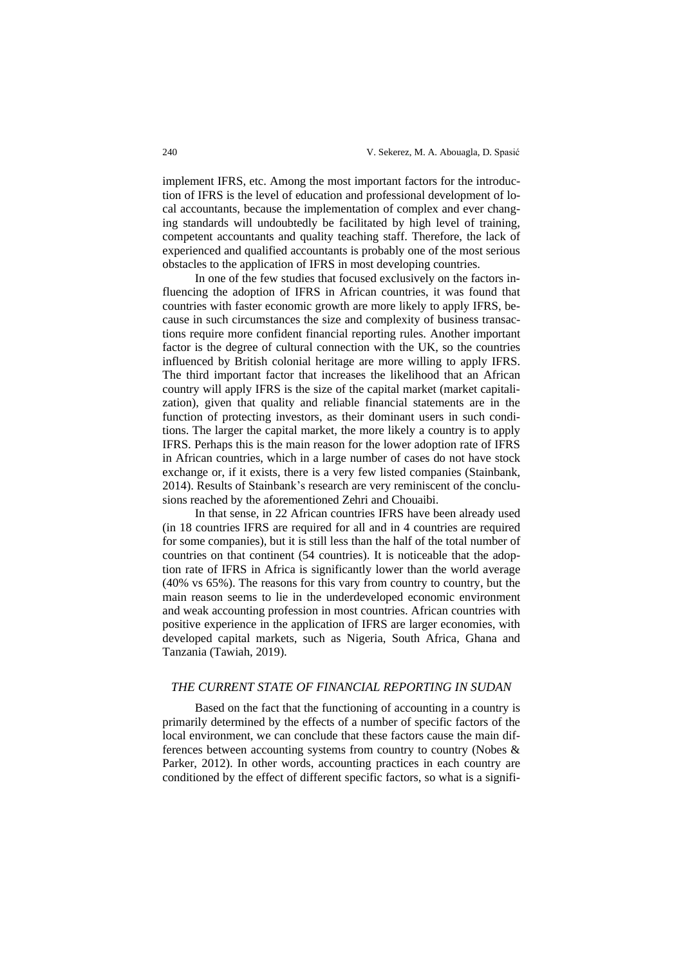implement IFRS, etc. Among the most important factors for the introduction of IFRS is the level of education and professional development of local accountants, because the implementation of complex and ever changing standards will undoubtedly be facilitated by high level of training, competent accountants and quality teaching staff. Therefore, the lack of experienced and qualified accountants is probably one of the most serious obstacles to the application of IFRS in most developing countries.

In one of the few studies that focused exclusively on the factors influencing the adoption of IFRS in African countries, it was found that countries with faster economic growth are more likely to apply IFRS, because in such circumstances the size and complexity of business transactions require more confident financial reporting rules. Another important factor is the degree of cultural connection with the UK, so the countries influenced by British colonial heritage are more willing to apply IFRS. The third important factor that increases the likelihood that an African country will apply IFRS is the size of the capital market (market capitalization), given that quality and reliable financial statements are in the function of protecting investors, as their dominant users in such conditions. The larger the capital market, the more likely a country is to apply IFRS. Perhaps this is the main reason for the lower adoption rate of IFRS in African countries, which in a large number of cases do not have stock exchange or, if it exists, there is a very few listed companies (Stainbank, 2014). Results of Stainbank's research are very reminiscent of the conclusions reached by the aforementioned Zehri and Chouaibi.

In that sense, in 22 African countries IFRS have been already used (in 18 countries IFRS are required for all and in 4 countries are required for some companies), but it is still less than the half of the total number of countries on that continent (54 countries). It is noticeable that the adoption rate of IFRS in Africa is significantly lower than the world average (40% vs 65%). The reasons for this vary from country to country, but the main reason seems to lie in the underdeveloped economic environment and weak accounting profession in most countries. African countries with positive experience in the application of IFRS are larger economies, with developed capital markets, such as Nigeria, South Africa, Ghana and Tanzania (Tawiah, 2019).

## *THE CURRENT STATE OF FINANCIAL REPORTING IN SUDAN*

Based on the fact that the functioning of accounting in a country is primarily determined by the effects of a number of specific factors of the local environment, we can conclude that these factors cause the main differences between accounting systems from country to country (Nobes & Parker, 2012). In other words, accounting practices in each country are conditioned by the effect of different specific factors, so what is a signifi-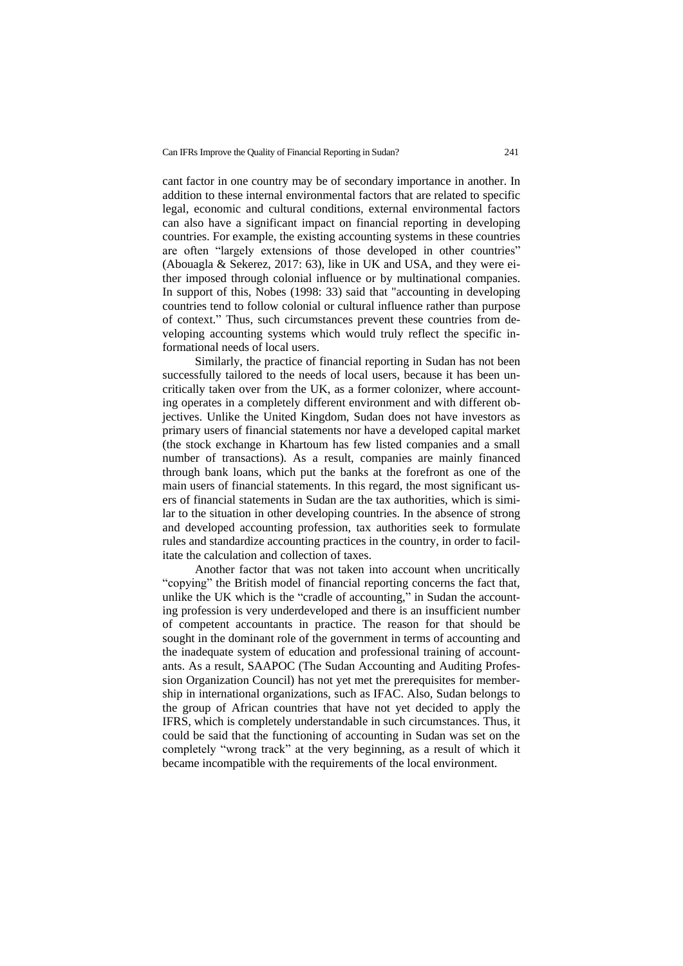cant factor in one country may be of secondary importance in another. In addition to these internal environmental factors that are related to specific legal, economic and cultural conditions, external environmental factors can also have a significant impact on financial reporting in developing countries. For example, the existing accounting systems in these countries are often "largely extensions of those developed in other countries" (Abouagla & Sekerez, 2017: 63), like in UK and USA, and they were either imposed through colonial influence or by multinational companies. In support of this, Nobes (1998: 33) said that "accounting in developing countries tend to follow colonial or cultural influence rather than purpose of context." Thus, such circumstances prevent these countries from developing accounting systems which would truly reflect the specific informational needs of local users.

Similarly, the practice of financial reporting in Sudan has not been successfully tailored to the needs of local users, because it has been uncritically taken over from the UK, as a former colonizer, where accounting operates in a completely different environment and with different objectives. Unlike the United Kingdom, Sudan does not have investors as primary users of financial statements nor have a developed capital market (the stock exchange in Khartoum has few listed companies and a small number of transactions). As a result, companies are mainly financed through bank loans, which put the banks at the forefront as one of the main users of financial statements. In this regard, the most significant users of financial statements in Sudan are the tax authorities, which is similar to the situation in other developing countries. In the absence of strong and developed accounting profession, tax authorities seek to formulate rules and standardize accounting practices in the country, in order to facilitate the calculation and collection of taxes.

Another factor that was not taken into account when uncritically "copying" the British model of financial reporting concerns the fact that, unlike the UK which is the "cradle of accounting," in Sudan the accounting profession is very underdeveloped and there is an insufficient number of competent accountants in practice. The reason for that should be sought in the dominant role of the government in terms of accounting and the inadequate system of education and professional training of accountants. As a result, SAAPOC (The Sudan Accounting and Auditing Profession Organization Council) has not yet met the prerequisites for membership in international organizations, such as IFAC. Also, Sudan belongs to the group of African countries that have not yet decided to apply the IFRS, which is completely understandable in such circumstances. Thus, it could be said that the functioning of accounting in Sudan was set on the completely "wrong track" at the very beginning, as a result of which it became incompatible with the requirements of the local environment.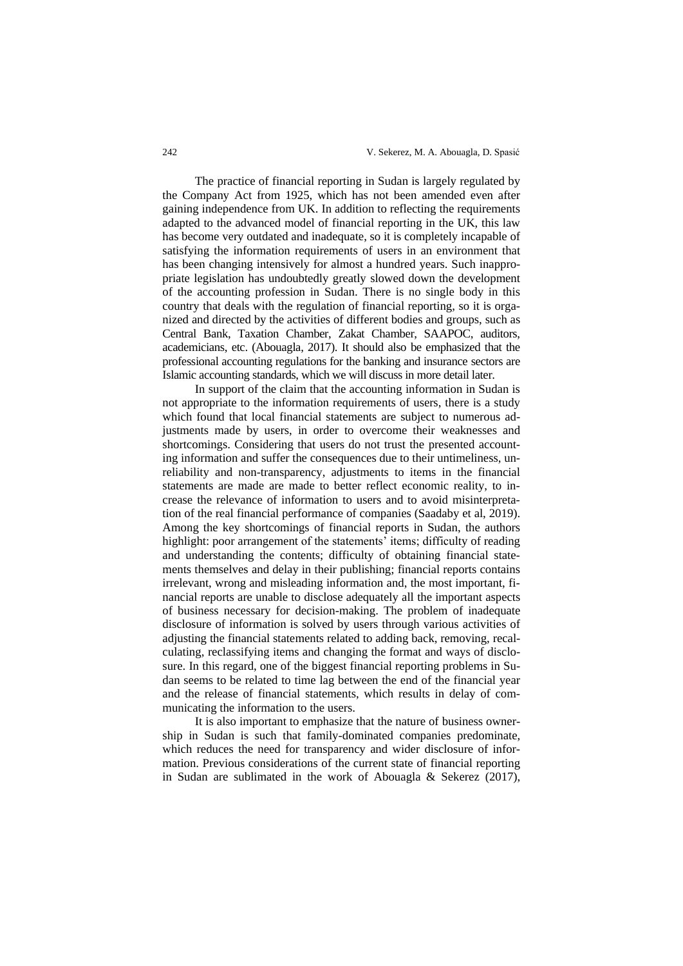The practice of financial reporting in Sudan is largely regulated by the Company Act from 1925, which has not been amended even after gaining independence from UK. In addition to reflecting the requirements adapted to the advanced model of financial reporting in the UK, this law has become very outdated and inadequate, so it is completely incapable of satisfying the information requirements of users in an environment that has been changing intensively for almost a hundred years. Such inappropriate legislation has undoubtedly greatly slowed down the development of the accounting profession in Sudan. There is no single body in this country that deals with the regulation of financial reporting, so it is organized and directed by the activities of different bodies and groups, such as Central Bank, Taxation Chamber, Zakat Chamber, SAAPOC, auditors, academicians, etc. (Abouagla, 2017). It should also be emphasized that the professional accounting regulations for the banking and insurance sectors are Islamic accounting standards, which we will discuss in more detail later.

In support of the claim that the accounting information in Sudan is not appropriate to the information requirements of users, there is a study which found that local financial statements are subject to numerous adjustments made by users, in order to overcome their weaknesses and shortcomings. Considering that users do not trust the presented accounting information and suffer the consequences due to their untimeliness, unreliability and non-transparency, adjustments to items in the financial statements are made are made to better reflect economic reality, to increase the relevance of information to users and to avoid misinterpretation of the real financial performance of companies (Saadaby et al, 2019). Among the key shortcomings of financial reports in Sudan, the authors highlight: poor arrangement of the statements' items; difficulty of reading and understanding the contents; difficulty of obtaining financial statements themselves and delay in their publishing; financial reports contains irrelevant, wrong and misleading information and, the most important, financial reports are unable to disclose adequately all the important aspects of business necessary for decision-making. The problem of inadequate disclosure of information is solved by users through various activities of adjusting the financial statements related to adding back, removing, recalculating, reclassifying items and changing the format and ways of disclosure. In this regard, one of the biggest financial reporting problems in Sudan seems to be related to time lag between the end of the financial year and the release of financial statements, which results in delay of communicating the information to the users.

It is also important to emphasize that the nature of business ownership in Sudan is such that family-dominated companies predominate, which reduces the need for transparency and wider disclosure of information. Previous considerations of the current state of financial reporting in Sudan are sublimated in the work of Abouagla & Sekerez (2017),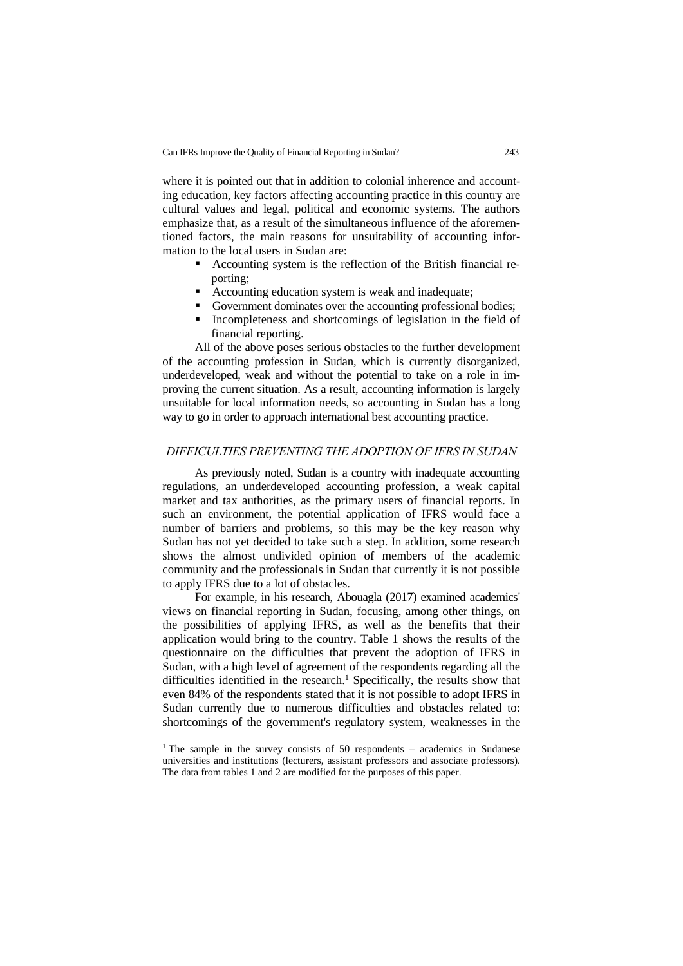where it is pointed out that in addition to colonial inherence and accounting education, key factors affecting accounting practice in this country are cultural values and legal, political and economic systems. The authors emphasize that, as a result of the simultaneous influence of the aforementioned factors, the main reasons for unsuitability of accounting information to the local users in Sudan are:

- Accounting system is the reflection of the British financial reporting;
- Accounting education system is weak and inadequate;
- Government dominates over the accounting professional bodies;
- Incompleteness and shortcomings of legislation in the field of financial reporting.

All of the above poses serious obstacles to the further development of the accounting profession in Sudan, which is currently disorganized, underdeveloped, weak and without the potential to take on a role in improving the current situation. As a result, accounting information is largely unsuitable for local information needs, so accounting in Sudan has a long way to go in order to approach international best accounting practice.

### *DIFFICULTIES PREVENTING THE ADOPTION OF IFRS IN SUDAN*

As previously noted, Sudan is a country with inadequate accounting regulations, an underdeveloped accounting profession, a weak capital market and tax authorities, as the primary users of financial reports. In such an environment, the potential application of IFRS would face a number of barriers and problems, so this may be the key reason why Sudan has not yet decided to take such a step. In addition, some research shows the almost undivided opinion of members of the academic community and the professionals in Sudan that currently it is not possible to apply IFRS due to a lot of obstacles.

For example, in his research, Abouagla (2017) examined academics' views on financial reporting in Sudan, focusing, among other things, on the possibilities of applying IFRS, as well as the benefits that their application would bring to the country. Table 1 shows the results of the questionnaire on the difficulties that prevent the adoption of IFRS in Sudan, with a high level of agreement of the respondents regarding all the difficulties identified in the research.<sup>1</sup> Specifically, the results show that even 84% of the respondents stated that it is not possible to adopt IFRS in Sudan currently due to numerous difficulties and obstacles related to: shortcomings of the government's regulatory system, weaknesses in the

<sup>&</sup>lt;sup>1</sup> The sample in the survey consists of 50 respondents – academics in Sudanese universities and institutions (lecturers, assistant professors and associate professors). The data from tables 1 and 2 are modified for the purposes of this paper.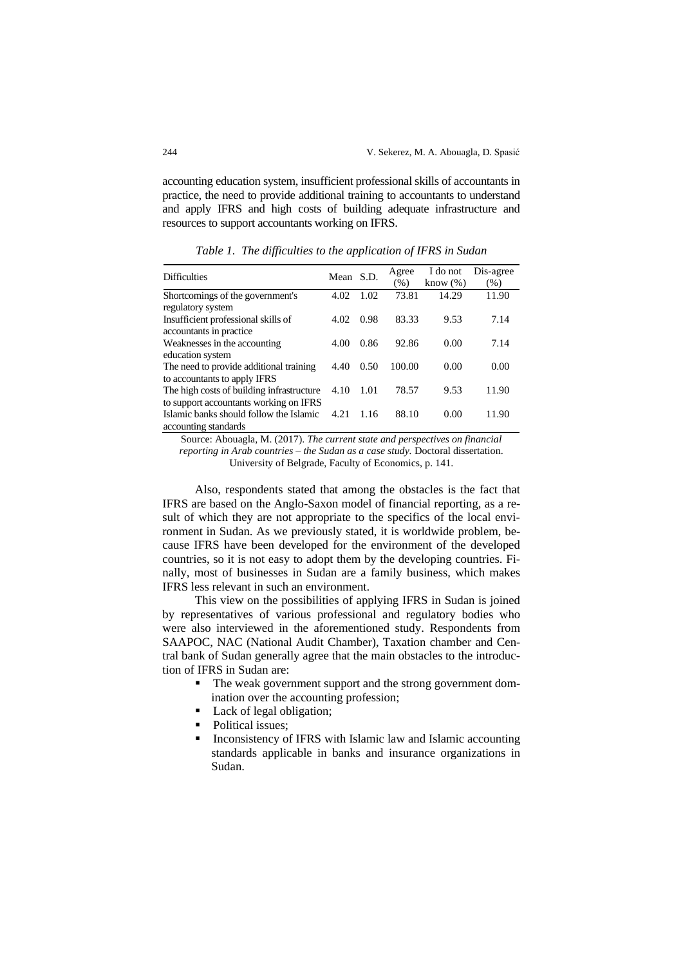accounting education system, insufficient professional skills of accountants in practice, the need to provide additional training to accountants to understand and apply IFRS and high costs of building adequate infrastructure and resources to support accountants working on IFRS.

| <b>Difficulties</b>                       | Mean S.D. |      | Agree  | I do not    | Dis-agree |
|-------------------------------------------|-----------|------|--------|-------------|-----------|
|                                           |           |      | (% )   | know $(\%)$ | $(\%)$    |
| Shortcomings of the government's          | 4.02      | 1.02 | 73.81  | 14.29       | 11.90     |
| regulatory system                         |           |      |        |             |           |
| Insufficient professional skills of       | 4.02      | 0.98 | 83.33  | 9.53        | 7.14      |
| accountants in practice.                  |           |      |        |             |           |
| Weaknesses in the accounting              | 4.00      | 0.86 | 92.86  | 0.00        | 7.14      |
| education system                          |           |      |        |             |           |
| The need to provide additional training   | 4.40      | 0.50 | 100.00 | 0.00        | 0.00      |
| to accountants to apply IFRS              |           |      |        |             |           |
| The high costs of building infrastructure | 4.10      | 1.01 | 78.57  | 9.53        | 11.90     |
| to support accountants working on IFRS    |           |      |        |             |           |
| Islamic banks should follow the Islamic   | 4.21      | 1.16 | 88.10  | 0.00        | 11.90     |
| accounting standards                      |           |      |        |             |           |

*Table 1. The difficulties to the application of IFRS in Sudan*

Source: Abouagla, M. (2017). *The current state and perspectives on financial reporting in Arab countries – the Sudan as a case study.* Doctoral dissertation. University of Belgrade, Faculty of Economics, p. 141.

Also, respondents stated that among the obstacles is the fact that IFRS are based on the Anglo-Saxon model of financial reporting, as a result of which they are not appropriate to the specifics of the local environment in Sudan. As we previously stated, it is worldwide problem, because IFRS have been developed for the environment of the developed countries, so it is not easy to adopt them by the developing countries. Finally, most of businesses in Sudan are a family business, which makes IFRS less relevant in such an environment.

This view on the possibilities of applying IFRS in Sudan is joined by representatives of various professional and regulatory bodies who were also interviewed in the aforementioned study. Respondents from SAAPOC, NAC (National Audit Chamber), Taxation chamber and Central bank of Sudan generally agree that the main obstacles to the introduction of IFRS in Sudan are:

- The weak government support and the strong government domination over the accounting profession;
- Lack of legal obligation;
- Political issues;
- Inconsistency of IFRS with Islamic law and Islamic accounting standards applicable in banks and insurance organizations in Sudan.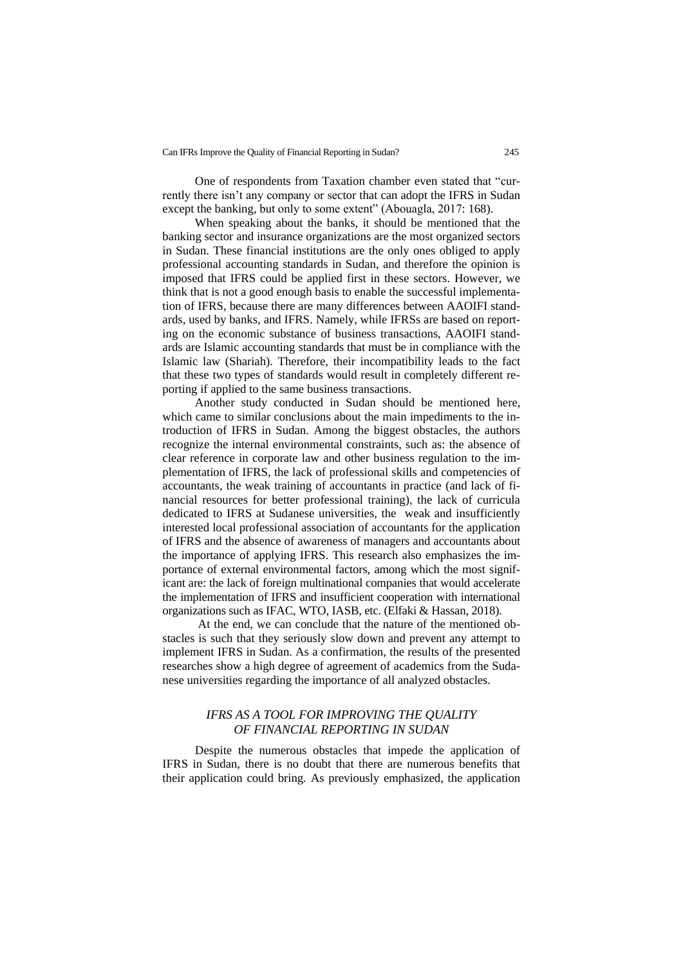One of respondents from Taxation chamber even stated that "currently there isn't any company or sector that can adopt the IFRS in Sudan except the banking, but only to some extent" (Abouagla, 2017: 168).

When speaking about the banks, it should be mentioned that the banking sector and insurance organizations are the most organized sectors in Sudan. These financial institutions are the only ones obliged to apply professional accounting standards in Sudan, and therefore the opinion is imposed that IFRS could be applied first in these sectors. However, we think that is not a good enough basis to enable the successful implementation of IFRS, because there are many differences between AAOIFI standards, used by banks, and IFRS. Namely, while IFRSs are based on reporting on the economic substance of business transactions, AAOIFI standards are Islamic accounting standards that must be in compliance with the Islamic law (Shariah). Therefore, their incompatibility leads to the fact that these two types of standards would result in completely different reporting if applied to the same business transactions.

Another study conducted in Sudan should be mentioned here, which came to similar conclusions about the main impediments to the introduction of IFRS in Sudan. Among the biggest obstacles, the authors recognize the internal environmental constraints, such as: the absence of clear reference in corporate law and other business regulation to the implementation of IFRS, the lack of professional skills and competencies of accountants, the weak training of accountants in practice (and lack of financial resources for better professional training), the lack of curricula dedicated to IFRS at Sudanese universities, the weak and insufficiently interested local professional association of accountants for the application of IFRS and the absence of awareness of managers and accountants about the importance of applying IFRS. This research also emphasizes the importance of external environmental factors, among which the most significant are: the lack of foreign multinational companies that would accelerate the implementation of IFRS and insufficient cooperation with international organizations such as IFAC, WTO, IASB, etc. (Elfaki & Hassan, 2018).

At the end, we can conclude that the nature of the mentioned obstacles is such that they seriously slow down and prevent any attempt to implement IFRS in Sudan. As a confirmation, the results of the presented researches show a high degree of agreement of academics from the Sudanese universities regarding the importance of all analyzed obstacles.

## *IFRS AS A TOOL FOR IMPROVING THE QUALITY OF FINANCIAL REPORTING IN SUDAN*

Despite the numerous obstacles that impede the application of IFRS in Sudan, there is no doubt that there are numerous benefits that their application could bring. As previously emphasized, the application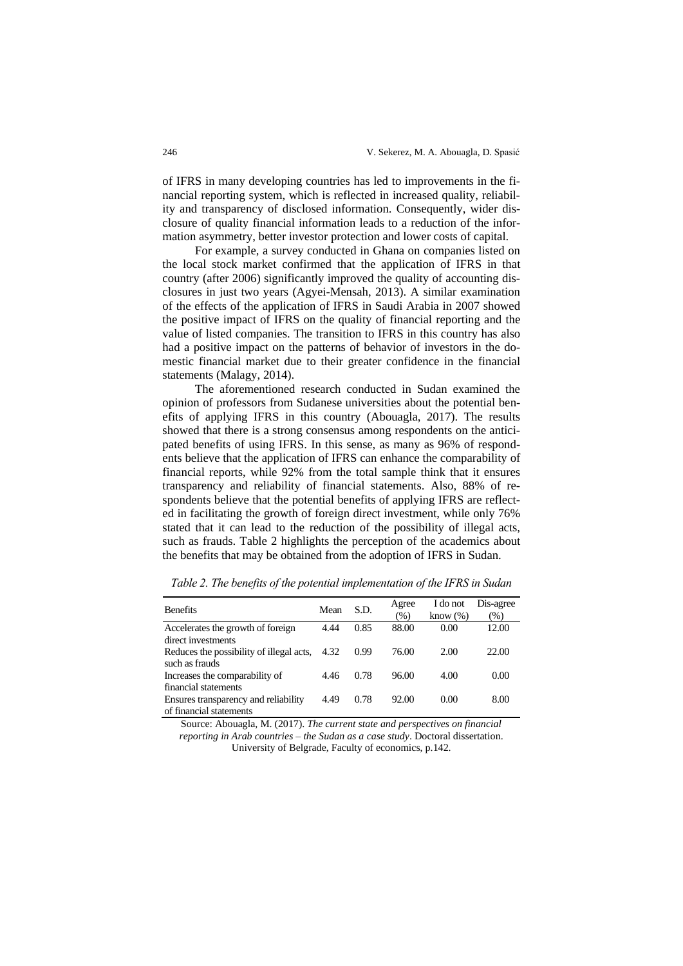of IFRS in many developing countries has led to improvements in the financial reporting system, which is reflected in increased quality, reliability and transparency of disclosed information. Consequently, wider disclosure of quality financial information leads to a reduction of the information asymmetry, better investor protection and lower costs of capital.

For example, a survey conducted in Ghana on companies listed on the local stock market confirmed that the application of IFRS in that country (after 2006) significantly improved the quality of accounting disclosures in just two years (Agyei-Mensah, 2013). A similar examination of the effects of the application of IFRS in Saudi Arabia in 2007 showed the positive impact of IFRS on the quality of financial reporting and the value of listed companies. The transition to IFRS in this country has also had a positive impact on the patterns of behavior of investors in the domestic financial market due to their greater confidence in the financial statements (Malagy, 2014).

The aforementioned research conducted in Sudan examined the opinion of professors from Sudanese universities about the potential benefits of applying IFRS in this country (Abouagla, 2017). The results showed that there is a strong consensus among respondents on the anticipated benefits of using IFRS. In this sense, as many as 96% of respondents believe that the application of IFRS can enhance the comparability of financial reports, while 92% from the total sample think that it ensures transparency and reliability of financial statements. Also, 88% of respondents believe that the potential benefits of applying IFRS are reflected in facilitating the growth of foreign direct investment, while only 76% stated that it can lead to the reduction of the possibility of illegal acts, such as frauds. Table 2 highlights the perception of the academics about the benefits that may be obtained from the adoption of IFRS in Sudan.

| <b>Benefits</b>                          | Mean | S.D. | Agree<br>$(\%)$ | I do not<br>know $(\%)$ | Dis-agree<br>$(\%)$ |
|------------------------------------------|------|------|-----------------|-------------------------|---------------------|
| Accelerates the growth of foreign        | 4.44 | 0.85 | 88.00           | 0.00                    | 12.00               |
| direct investments                       |      |      |                 |                         |                     |
| Reduces the possibility of illegal acts, | 4.32 | 0.99 | 76.00           | 2.00                    | 22.00               |
| such as frauds                           |      |      |                 |                         |                     |
| Increases the comparability of           | 4.46 | 0.78 | 96.00           | 4.00                    | 0.00                |
| financial statements                     |      |      |                 |                         |                     |
| Ensures transparency and reliability     | 4.49 | 0.78 | 92.00           | 0.00                    | 8.00                |
| of financial statements                  |      |      |                 |                         |                     |

*Table 2. The benefits of the potential implementation of the IFRS in Sudan*

Source: Abouagla, M. (2017). *The current state and perspectives on financial reporting in Arab countries – the Sudan as a case study*. Doctoral dissertation. University of Belgrade, Faculty of economics, p.142.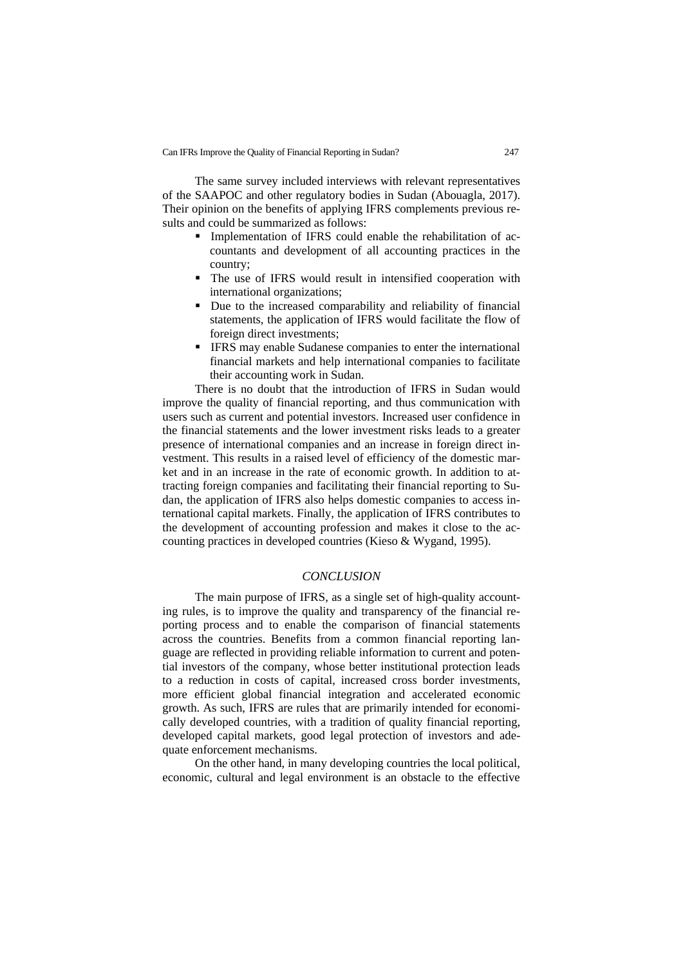The same survey included interviews with relevant representatives of the SAAPOC and other regulatory bodies in Sudan (Abouagla, 2017). Their opinion on the benefits of applying IFRS complements previous results and could be summarized as follows:

- **•** Implementation of IFRS could enable the rehabilitation of accountants and development of all accounting practices in the country;
- The use of IFRS would result in intensified cooperation with international organizations;
- Due to the increased comparability and reliability of financial statements, the application of IFRS would facilitate the flow of foreign direct investments;
- **IFRS may enable Sudanese companies to enter the international** financial markets and help international companies to facilitate their accounting work in Sudan.

There is no doubt that the introduction of IFRS in Sudan would improve the quality of financial reporting, and thus communication with users such as current and potential investors. Increased user confidence in the financial statements and the lower investment risks leads to a greater presence of international companies and an increase in foreign direct investment. This results in a raised level of efficiency of the domestic market and in an increase in the rate of economic growth. In addition to attracting foreign companies and facilitating their financial reporting to Sudan, the application of IFRS also helps domestic companies to access international capital markets. Finally, the application of IFRS contributes to the development of accounting profession and makes it close to the accounting practices in developed countries (Kieso & Wygand, 1995).

### *CONCLUSION*

The main purpose of IFRS, as a single set of high-quality accounting rules, is to improve the quality and transparency of the financial reporting process and to enable the comparison of financial statements across the countries. Benefits from a common financial reporting language are reflected in providing reliable information to current and potential investors of the company, whose better institutional protection leads to a reduction in costs of capital, increased cross border investments, more efficient global financial integration and accelerated economic growth. As such, IFRS are rules that are primarily intended for economically developed countries, with a tradition of quality financial reporting, developed capital markets, good legal protection of investors and adequate enforcement mechanisms.

On the other hand, in many developing countries the local political, economic, cultural and legal environment is an obstacle to the effective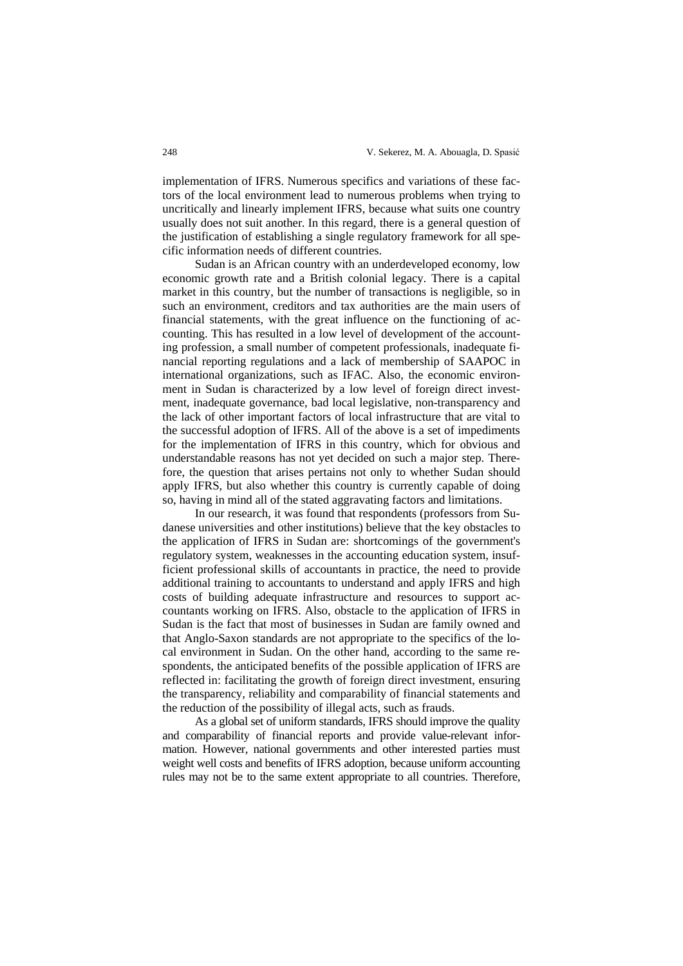implementation of IFRS. Numerous specifics and variations of these factors of the local environment lead to numerous problems when trying to uncritically and linearly implement IFRS, because what suits one country usually does not suit another. In this regard, there is a general question of the justification of establishing a single regulatory framework for all specific information needs of different countries.

Sudan is an African country with an underdeveloped economy, low economic growth rate and a British colonial legacy. There is a capital market in this country, but the number of transactions is negligible, so in such an environment, creditors and tax authorities are the main users of financial statements, with the great influence on the functioning of accounting. This has resulted in a low level of development of the accounting profession, a small number of competent professionals, inadequate financial reporting regulations and a lack of membership of SAAPOC in international organizations, such as IFAC. Also, the economic environment in Sudan is characterized by a low level of foreign direct investment, inadequate governance, bad local legislative, non-transparency and the lack of other important factors of local infrastructure that are vital to the successful adoption of IFRS. All of the above is a set of impediments for the implementation of IFRS in this country, which for obvious and understandable reasons has not yet decided on such a major step. Therefore, the question that arises pertains not only to whether Sudan should apply IFRS, but also whether this country is currently capable of doing so, having in mind all of the stated aggravating factors and limitations.

In our research, it was found that respondents (professors from Sudanese universities and other institutions) believe that the key obstacles to the application of IFRS in Sudan are: shortcomings of the government's regulatory system, weaknesses in the accounting education system, insufficient professional skills of accountants in practice, the need to provide additional training to accountants to understand and apply IFRS and high costs of building adequate infrastructure and resources to support accountants working on IFRS. Also, obstacle to the application of IFRS in Sudan is the fact that most of businesses in Sudan are family owned and that Anglo-Saxon standards are not appropriate to the specifics of the local environment in Sudan. On the other hand, according to the same respondents, the anticipated benefits of the possible application of IFRS are reflected in: facilitating the growth of foreign direct investment, ensuring the transparency, reliability and comparability of financial statements and the reduction of the possibility of illegal acts, such as frauds.

As a global set of uniform standards, IFRS should improve the quality and comparability of financial reports and provide value-relevant information. However, national governments and other interested parties must weight well costs and benefits of IFRS adoption, because uniform accounting rules may not be to the same extent appropriate to all countries. Therefore,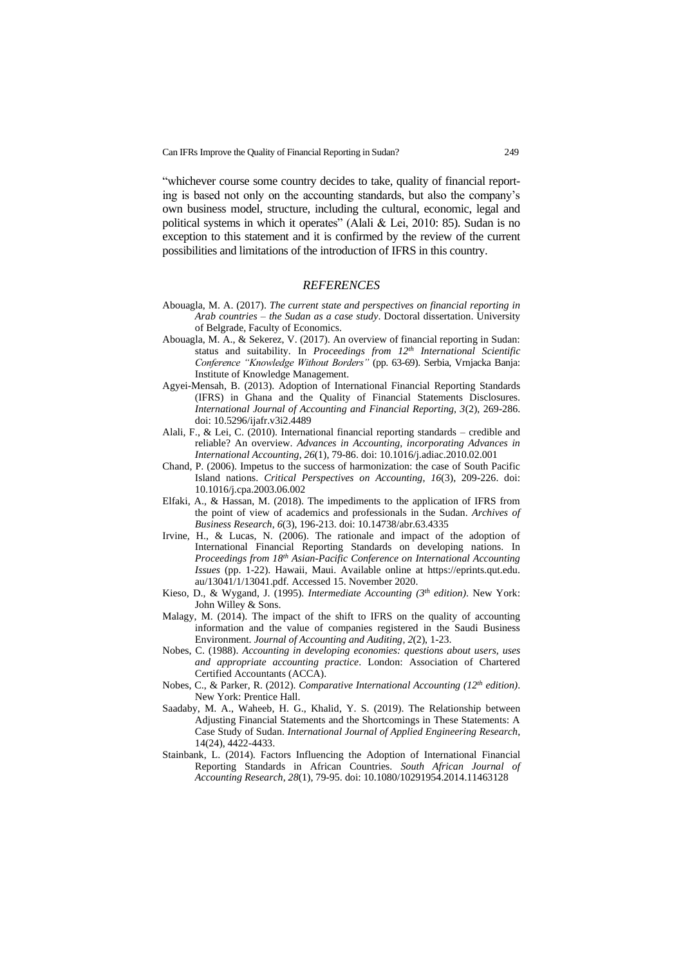"whichever course some country decides to take, quality of financial reporting is based not only on the accounting standards, but also the company's own business model, structure, including the cultural, economic, legal and political systems in which it operates" (Alali & Lei, 2010: 85). Sudan is no exception to this statement and it is confirmed by the review of the current possibilities and limitations of the introduction of IFRS in this country.

#### *REFERENCES*

- Abouagla, M. A. (2017). *The current state and perspectives on financial reporting in Arab countries – the Sudan as a case study*. Doctoral dissertation. University of Belgrade, Faculty of Economics.
- Abouagla, M. A., & Sekerez, V. (2017). An overview of financial reporting in Sudan: status and suitability. In *Proceedings from 12th International Scientific Conference "Knowledge Without Borders"* (pp. 63-69). Serbia, Vrnjacka Banja: Institute of Knowledge Management.
- Agyei-Mensah, B. (2013). Adoption of International Financial Reporting Standards (IFRS) in Ghana and the Quality of Financial Statements Disclosures. *International Journal of Accounting and Financial Reporting, 3*(2), 269-286. doi: 10.5296/ijafr.v3i2.4489
- Alali, F., & Lei, C. (2010). International financial reporting standards credible and reliable? An overview. *Advances in Accounting, incorporating Advances in International Accounting*, *26*(1), 79-86. doi: 10.1016/j.adiac.2010.02.001
- Chand, P. (2006). Impetus to the success of harmonization: the case of South Pacific Island nations. *Critical Perspectives on Accounting*, *16*(3), 209-226. doi: 10.1016/j.cpa.2003.06.002
- Elfaki, A., & Hassan, M. (2018). The impediments to the application of IFRS from the point of view of academics and professionals in the Sudan. *Archives of Business Research*, *6*(3), 196-213. doi: 10.14738/abr.63.4335
- Irvine, H., & Lucas, N. (2006). The rationale and impact of the adoption of International Financial Reporting Standards on developing nations. In *Proceedings from 18th Asian-Pacific Conference on International Accounting Issues* (pp. 1-22). Hawaii, Maui. Available online at https://eprints.qut.edu. au/13041/1/13041.pdf. Accessed 15. November 2020.
- Kieso, D., & Wygand, J. (1995). *Intermediate Accounting (3th edition)*. New York: John Willey & Sons.
- Malagy, M. (2014). The impact of the shift to IFRS on the quality of accounting information and the value of companies registered in the Saudi Business Environment. *Journal of Accounting and Auditing*, *2*(2), 1-23.
- Nobes, C. (1988). *Accounting in developing economies: questions about users, uses and appropriate accounting practice*. London: Association of Chartered Certified Accountants (ACCA).
- Nobes, C., & Parker, R. (2012). *Comparative International Accounting (12th edition)*. New York: Prentice Hall.
- Saadaby, M. A., Waheeb, H. G., Khalid, Y. S. (2019). The Relationship between Adjusting Financial Statements and the Shortcomings in These Statements: A Case Study of Sudan. *International Journal of Applied Engineering Research*, 14(24), 4422-4433.
- Stainbank, L. (2014). Factors Influencing the Adoption of International Financial Reporting Standards in African Countries. *South African Journal of Accounting Research*, *28*(1), 79-95. doi: 10.1080/10291954.2014.11463128